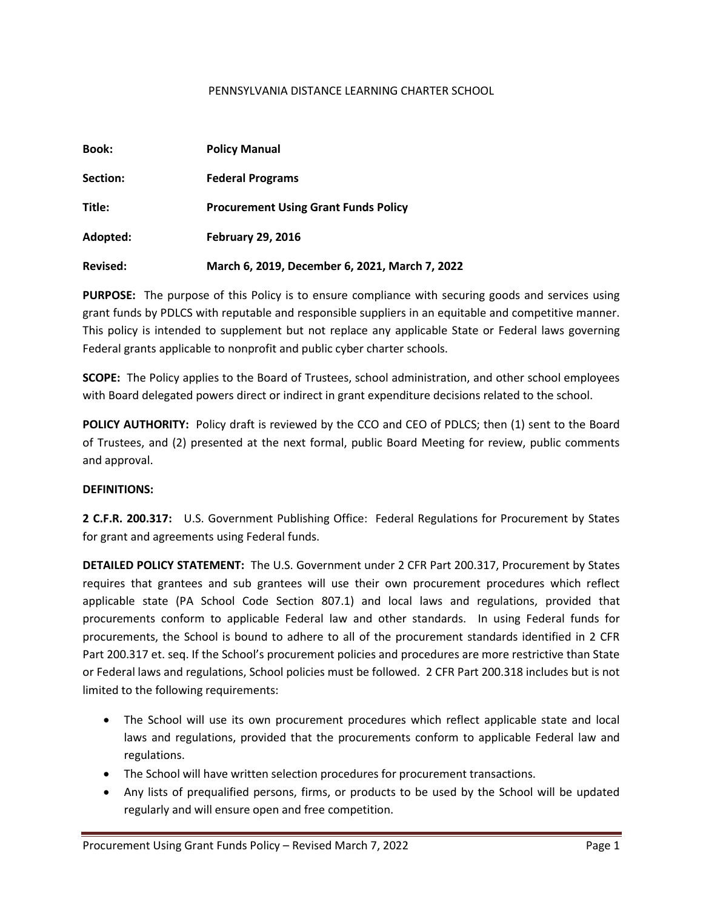#### PENNSYLVANIA DISTANCE LEARNING CHARTER SCHOOL

| <b>Book:</b>    | <b>Policy Manual</b>                           |  |
|-----------------|------------------------------------------------|--|
| Section:        | <b>Federal Programs</b>                        |  |
| Title:          | <b>Procurement Using Grant Funds Policy</b>    |  |
| Adopted:        | <b>February 29, 2016</b>                       |  |
| <b>Revised:</b> | March 6, 2019, December 6, 2021, March 7, 2022 |  |

**PURPOSE:** The purpose of this Policy is to ensure compliance with securing goods and services using grant funds by PDLCS with reputable and responsible suppliers in an equitable and competitive manner. This policy is intended to supplement but not replace any applicable State or Federal laws governing Federal grants applicable to nonprofit and public cyber charter schools.

**SCOPE:** The Policy applies to the Board of Trustees, school administration, and other school employees with Board delegated powers direct or indirect in grant expenditure decisions related to the school.

**POLICY AUTHORITY:** Policy draft is reviewed by the CCO and CEO of PDLCS; then (1) sent to the Board of Trustees, and (2) presented at the next formal, public Board Meeting for review, public comments and approval.

#### **DEFINITIONS:**

**2 C.F.R. 200.317:** U.S. Government Publishing Office: Federal Regulations for Procurement by States for grant and agreements using Federal funds.

**DETAILED POLICY STATEMENT:** The U.S. Government under 2 CFR Part 200.317, Procurement by States requires that grantees and sub grantees will use their own procurement procedures which reflect applicable state (PA School Code Section 807.1) and local laws and regulations, provided that procurements conform to applicable Federal law and other standards. In using Federal funds for procurements, the School is bound to adhere to all of the procurement standards identified in 2 CFR Part 200.317 et. seq. If the School's procurement policies and procedures are more restrictive than State or Federal laws and regulations, School policies must be followed. 2 CFR Part 200.318 includes but is not limited to the following requirements:

- The School will use its own procurement procedures which reflect applicable state and local laws and regulations, provided that the procurements conform to applicable Federal law and regulations.
- The School will have written selection procedures for procurement transactions.
- Any lists of prequalified persons, firms, or products to be used by the School will be updated regularly and will ensure open and free competition.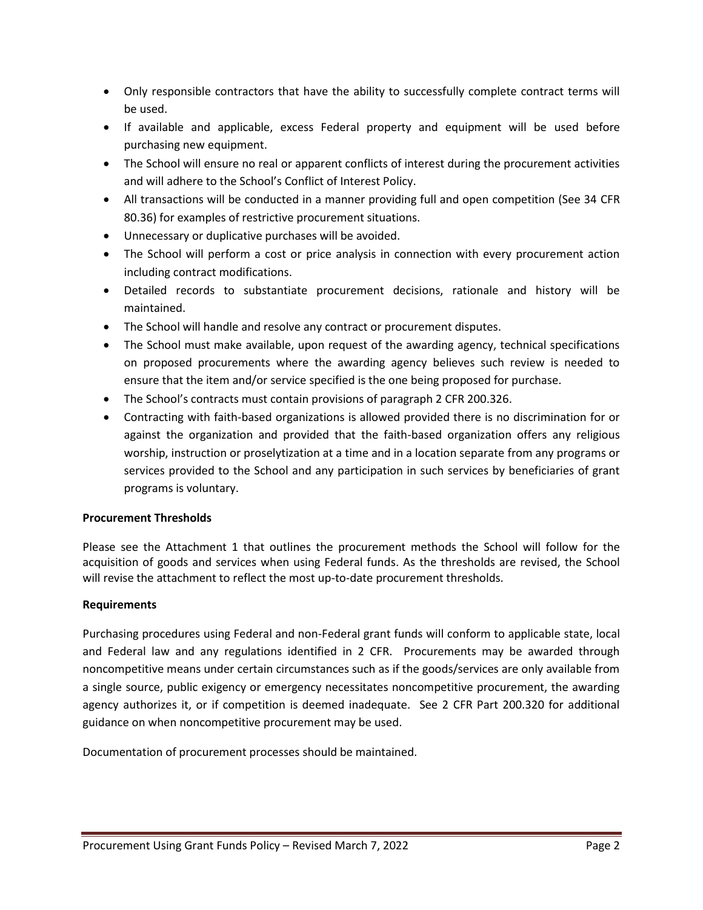- Only responsible contractors that have the ability to successfully complete contract terms will be used.
- If available and applicable, excess Federal property and equipment will be used before purchasing new equipment.
- The School will ensure no real or apparent conflicts of interest during the procurement activities and will adhere to the School's Conflict of Interest Policy.
- All transactions will be conducted in a manner providing full and open competition (See 34 CFR 80.36) for examples of restrictive procurement situations.
- Unnecessary or duplicative purchases will be avoided.
- The School will perform a cost or price analysis in connection with every procurement action including contract modifications.
- Detailed records to substantiate procurement decisions, rationale and history will be maintained.
- The School will handle and resolve any contract or procurement disputes.
- The School must make available, upon request of the awarding agency, technical specifications on proposed procurements where the awarding agency believes such review is needed to ensure that the item and/or service specified is the one being proposed for purchase.
- The School's contracts must contain provisions of paragraph 2 CFR 200.326.
- Contracting with faith-based organizations is allowed provided there is no discrimination for or against the organization and provided that the faith-based organization offers any religious worship, instruction or proselytization at a time and in a location separate from any programs or services provided to the School and any participation in such services by beneficiaries of grant programs is voluntary.

## **Procurement Thresholds**

Please see the Attachment 1 that outlines the procurement methods the School will follow for the acquisition of goods and services when using Federal funds. As the thresholds are revised, the School will revise the attachment to reflect the most up-to-date procurement thresholds.

## **Requirements**

Purchasing procedures using Federal and non-Federal grant funds will conform to applicable state, local and Federal law and any regulations identified in 2 CFR. Procurements may be awarded through noncompetitive means under certain circumstances such as if the goods/services are only available from a single source, public exigency or emergency necessitates noncompetitive procurement, the awarding agency authorizes it, or if competition is deemed inadequate. See 2 CFR Part 200.320 for additional guidance on when noncompetitive procurement may be used.

Documentation of procurement processes should be maintained.